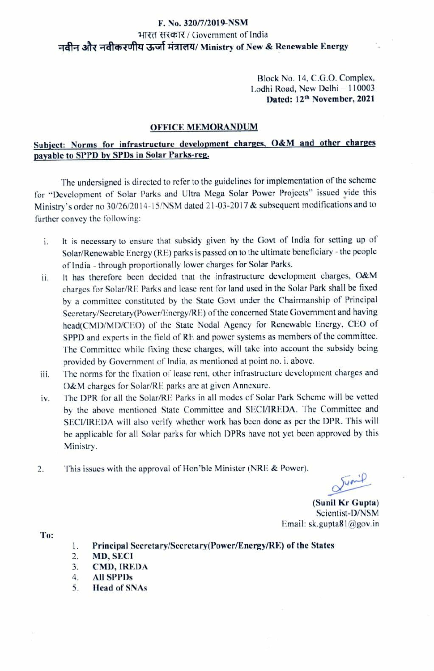## F. No. 320/7/2019-NSM भारत सरकार / Government of India नवीन और नवीकरणीय ऊर्जा मंत्रालय/ Ministry of New & Renewable Energy

Block No. 14, C.G.O. Complex, Lodhi Road, New Delhi -110003 Dated: 12th November, 2021

## OFFICE MEMORANDUM

## Subject: Norms for infrastructure development charges, O&M and other charges payable to SPPD by SPDs in Solar Parks-reg.

The undersigned is dirccted to refer to the guidelines for implementation of the scheme for "Devclopnment of Solar Parks and Ultra Mega Solar Power Projects" issucd yide this Ministry's order no 30/26/2014-15/NSM dated 21-03-2017 & subsequent modifications and to further convey the following:

- It is necessary to ensure that subsidy given by the Govt of India for setting up of i. Solar/Rencwable Energy (RE) parks is passed on to the ultimate beneficiary- the people of India - through proportionally lower charges for Solar Parks.
- ii. It has therefore been decided that the infrastructure development charges, O&M charges for Solar/RE Parks and lease rent for land used in the Solar Park shall be fixed by a committee constituted by the State Govt under the Chairmanship of Principal Secretary/Secretary(Power/Energy/RE) of the concerned State Government and having head(CMD/MD/CEO) of the State Nodal Agency for Renewable Energy, CEO of SPPD and experts in the ficld of RE and power systems as members of the committec. The Committee while fixing these charges, will take into account the subsidy being provided by Government of India, as mentioned at point no. i. above.
- iii. The norms for the fixation of lease rent, other infrastructure development charges and 0&M charges for Solar/RIE parks are at given Annexure.
- iv. The DPR for all the Solar/RE Parks in all modes of Solar Park Scheme will be vetted by the above mentioncd State Committec and SECI/IREDA. The Committee and SECVIREDA will also verify whether work has been done as per the DPR. This will be applicable for all Solar parks for which DPRs have not yet been approved by this Ministry
- 2. This issues with the approval of Hon'ble Minister (NRE & Power).

Junip

(Sunil Kr Gupta) Scicntist-D/NSM Email: sk.gupta81@gov.in

- To: . Principal Secretary/Sccretary(Power/Energy/RE) of the States
	- MD, SECI 2.
	- CMD, IREDA 3.
	- 4. All SPPDs
	- 5. Head of SNAs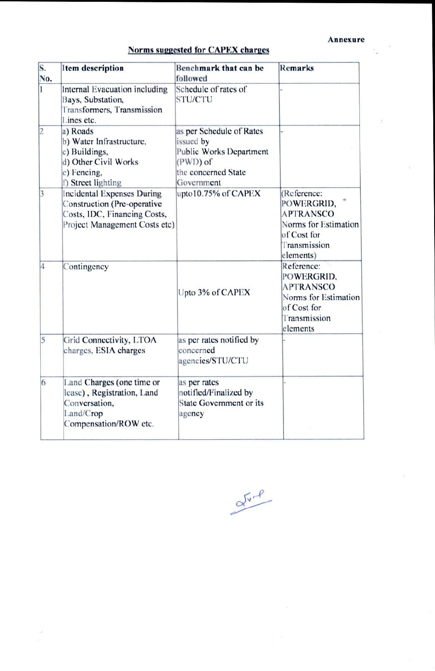í.

| Norms suggested for CAPEX charges |  |  |
|-----------------------------------|--|--|
|                                   |  |  |

| S.<br>No.   | <b>Item description</b>                                                                                                    | Benchmark that can be<br>followed                                                                                 | <b>Remarks</b>                                                                                                    |  |
|-------------|----------------------------------------------------------------------------------------------------------------------------|-------------------------------------------------------------------------------------------------------------------|-------------------------------------------------------------------------------------------------------------------|--|
| 1           | Internal Evacuation including<br>Bays, Substation,<br>Transformers, Transmission<br>Lines etc.                             | Schedule of rates of<br><b>STU/CTU</b>                                                                            |                                                                                                                   |  |
| $ 2\rangle$ | a) Roads<br>b) Water Infrastructure,<br>c) Buildings,<br>d) Other Civil Works<br>e) Fencing.<br>f) Street lighting         | as per Schedule of Rates<br>issued by<br>Public Works Department<br>(PWD) of<br>the concerned State<br>Government |                                                                                                                   |  |
| 3           | Incidental Expenses During<br>Construction (Pre-operative<br>Costs, IDC, Financing Costs,<br>Project Management Costs etc) | upto10.75% of CAPEX                                                                                               | (Reference:<br>POWERGRID,<br><b>APTRANSCO</b><br>Norms for Estimation<br>of Cost for<br>Transmission<br>elements) |  |
| 4           | Contingency                                                                                                                | Upto 3% of CAPEX                                                                                                  | Reference:<br>POWERGRID.<br><b>APTRANSCO</b><br>Norms for Estimation<br>of Cost for<br>Transmission<br>elements   |  |
| 5           | Grid Connectivity, LTOA<br>charges, ESIA charges                                                                           | as per rates notified by<br>concerned<br>agencies/STU/CTU                                                         |                                                                                                                   |  |
| 6           | Land Charges (one time or<br>lease), Registration, Land<br>Conversation,<br>Land/Crop<br>Compensation/ROW etc.             | as per rates<br>notified/Finalized by<br><b>State Government or its</b><br>agency                                 |                                                                                                                   |  |

 $\frac{\alpha^{\sqrt{v}-\rho}}{v}$ 

 $\mathcal{A}$ 

 $\hat{K}$